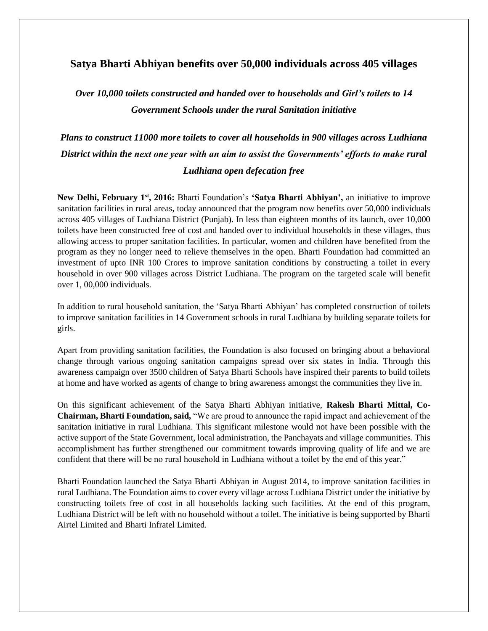# **Satya Bharti Abhiyan benefits over 50,000 individuals across 405 villages**

*Over 10,000 toilets constructed and handed over to households and Girl's toilets to 14 Government Schools under the rural Sanitation initiative*

*Plans to construct 11000 more toilets to cover all households in 900 villages across Ludhiana District within the next one year with an aim to assist the Governments' efforts to make rural Ludhiana open defecation free*

**New Delhi, February 1st, 2016:** Bharti Foundation's **'Satya Bharti Abhiyan',** an initiative to improve sanitation facilities in rural areas**,** today announced that the program now benefits over 50,000 individuals across 405 villages of Ludhiana District (Punjab). In less than eighteen months of its launch, over 10,000 toilets have been constructed free of cost and handed over to individual households in these villages, thus allowing access to proper sanitation facilities. In particular, women and children have benefited from the program as they no longer need to relieve themselves in the open. Bharti Foundation had committed an investment of upto INR 100 Crores to improve sanitation conditions by constructing a toilet in every household in over 900 villages across District Ludhiana. The program on the targeted scale will benefit over 1, 00,000 individuals.

In addition to rural household sanitation, the 'Satya Bharti Abhiyan' has completed construction of toilets to improve sanitation facilities in 14 Government schools in rural Ludhiana by building separate toilets for girls.

Apart from providing sanitation facilities, the Foundation is also focused on bringing about a behavioral change through various ongoing sanitation campaigns spread over six states in India. Through this awareness campaign over 3500 children of Satya Bharti Schools have inspired their parents to build toilets at home and have worked as agents of change to bring awareness amongst the communities they live in.

On this significant achievement of the Satya Bharti Abhiyan initiative, **Rakesh Bharti Mittal, Co-Chairman, Bharti Foundation, said,** "We are proud to announce the rapid impact and achievement of the sanitation initiative in rural Ludhiana. This significant milestone would not have been possible with the active support of the State Government, local administration, the Panchayats and village communities. This accomplishment has further strengthened our commitment towards improving quality of life and we are confident that there will be no rural household in Ludhiana without a toilet by the end of this year."

Bharti Foundation launched the Satya Bharti Abhiyan in August 2014, to improve sanitation facilities in rural Ludhiana. The Foundation aims to cover every village across Ludhiana District under the initiative by constructing toilets free of cost in all households lacking such facilities. At the end of this program, Ludhiana District will be left with no household without a toilet. The initiative is being supported by Bharti Airtel Limited and Bharti Infratel Limited.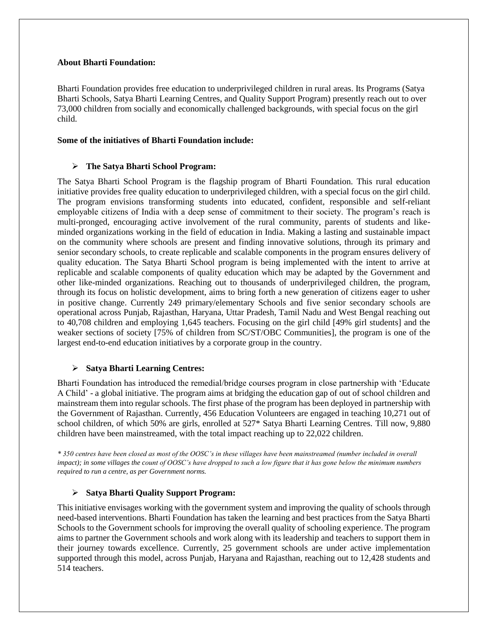#### **About Bharti Foundation:**

Bharti Foundation provides free education to underprivileged children in rural areas. Its Programs (Satya Bharti Schools, Satya Bharti Learning Centres, and Quality Support Program) presently reach out to over 73,000 children from socially and economically challenged backgrounds, with special focus on the girl child.

### **Some of the initiatives of Bharti Foundation include:**

### **The Satya Bharti School Program:**

The Satya Bharti School Program is the flagship program of Bharti Foundation. This rural education initiative provides free quality education to underprivileged children, with a special focus on the girl child. The program envisions transforming students into educated, confident, responsible and self-reliant employable citizens of India with a deep sense of commitment to their society. The program's reach is multi-pronged, encouraging active involvement of the rural community, parents of students and likeminded organizations working in the field of education in India. Making a lasting and sustainable impact on the community where schools are present and finding innovative solutions, through its primary and senior secondary schools, to create replicable and scalable components in the program ensures delivery of quality education. The Satya Bharti School program is being implemented with the intent to arrive at replicable and scalable components of quality education which may be adapted by the Government and other like-minded organizations. Reaching out to thousands of underprivileged children, the program, through its focus on holistic development, aims to bring forth a new generation of citizens eager to usher in positive change. Currently 249 primary/elementary Schools and five senior secondary schools are operational across Punjab, Rajasthan, Haryana, Uttar Pradesh, Tamil Nadu and West Bengal reaching out to 40,708 children and employing 1,645 teachers. Focusing on the girl child [49% girl students] and the weaker sections of society [75% of children from SC/ST/OBC Communities], the program is one of the largest end-to-end education initiatives by a corporate group in the country.

## **Satya Bharti Learning Centres:**

Bharti Foundation has introduced the remedial/bridge courses program in close partnership with 'Educate A Child' - a global initiative. The program aims at bridging the education gap of out of school children and mainstream them into regular schools. The first phase of the program has been deployed in partnership with the Government of Rajasthan. Currently, 456 Education Volunteers are engaged in teaching 10,271 out of school children, of which 50% are girls, enrolled at 527\* Satya Bharti Learning Centres. Till now, 9,880 children have been mainstreamed, with the total impact reaching up to 22,022 children.

*\* 350 centres have been closed as most of the OOSC's in these villages have been mainstreamed (number included in overall impact); in some villages the count of OOSC's have dropped to such a low figure that it has gone below the minimum numbers required to run a centre, as per Government norms.* 

## **Satya Bharti Quality Support Program:**

This initiative envisages working with the government system and improving the quality of schools through need-based interventions. Bharti Foundation has taken the learning and best practices from the Satya Bharti Schools to the Government schools for improving the overall quality of schooling experience. The program aims to partner the Government schools and work along with its leadership and teachers to support them in their journey towards excellence. Currently, 25 government schools are under active implementation supported through this model, across Punjab, Haryana and Rajasthan, reaching out to 12,428 students and 514 teachers.